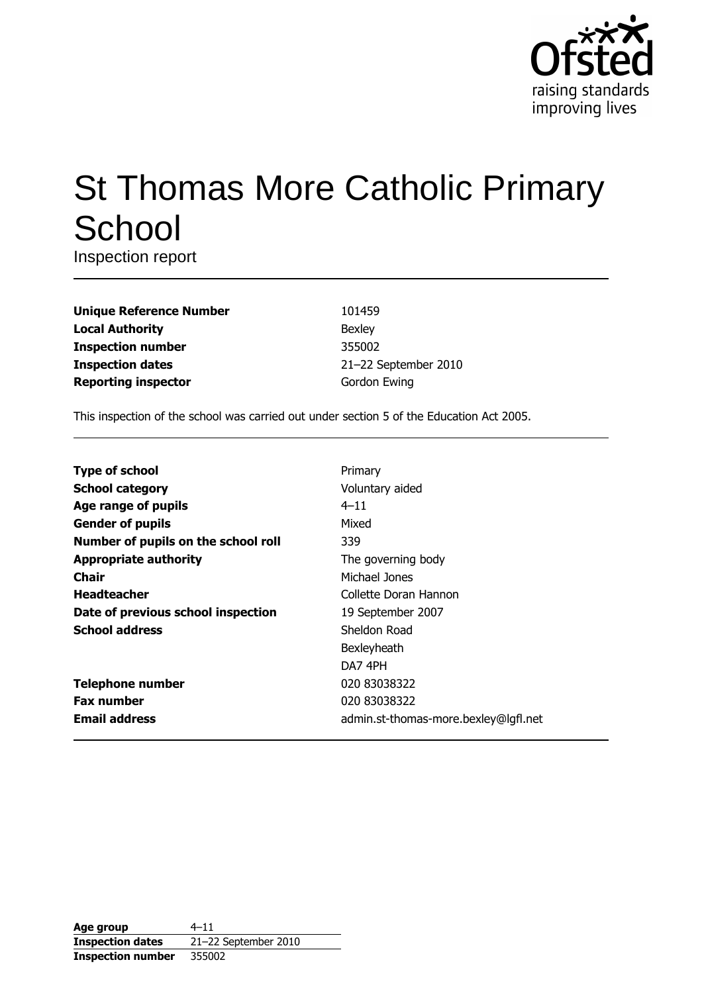

# **St Thomas More Catholic Primary** School

Inspection report

| <b>Unique Reference Number</b> |
|--------------------------------|
| <b>Local Authority</b>         |
| <b>Inspection number</b>       |
| <b>Inspection dates</b>        |
| <b>Reporting inspector</b>     |

101459 Bexley 355002 21-22 September 2010 Gordon Ewing

This inspection of the school was carried out under section 5 of the Education Act 2005.

| <b>Type of school</b>               | Primary                              |
|-------------------------------------|--------------------------------------|
| <b>School category</b>              | Voluntary aided                      |
| Age range of pupils                 | $4 - 11$                             |
| <b>Gender of pupils</b>             | Mixed                                |
| Number of pupils on the school roll | 339                                  |
| <b>Appropriate authority</b>        | The governing body                   |
| <b>Chair</b>                        | Michael Jones                        |
| <b>Headteacher</b>                  | Collette Doran Hannon                |
| Date of previous school inspection  | 19 September 2007                    |
| <b>School address</b>               | Sheldon Road                         |
|                                     | Bexleyheath                          |
|                                     | DA7 4PH                              |
| <b>Telephone number</b>             | 020 83038322                         |
| <b>Fax number</b>                   | 020 83038322                         |
| <b>Email address</b>                | admin.st-thomas-more.bexley@lgfl.net |

| Age group                | $4 - 11$             |
|--------------------------|----------------------|
| <b>Inspection dates</b>  | 21-22 September 2010 |
| <b>Inspection number</b> | 355002               |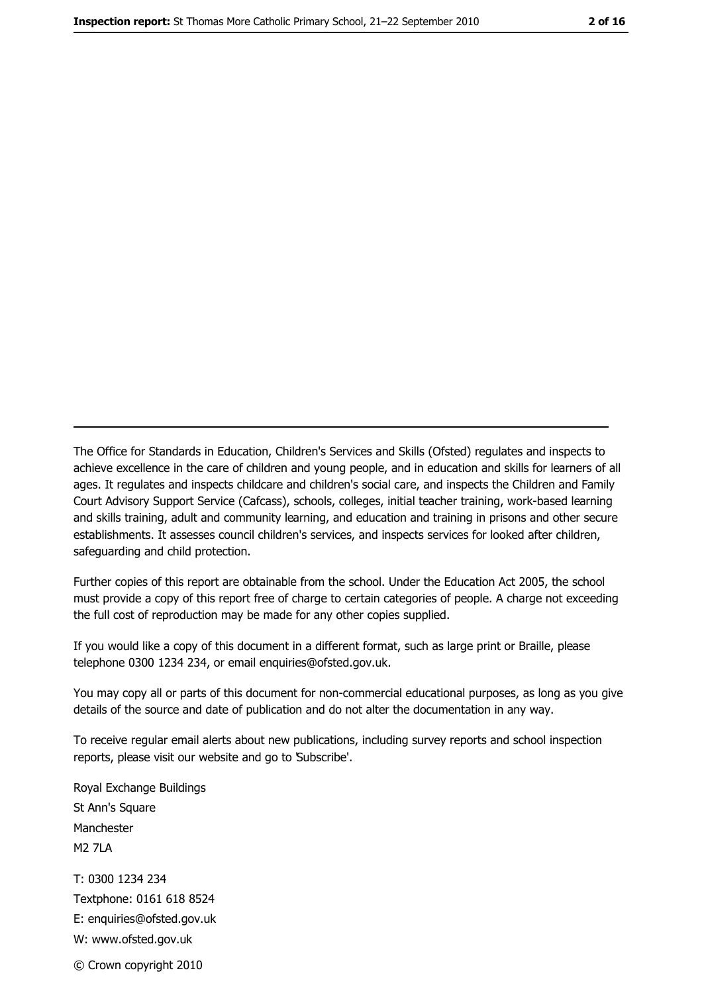The Office for Standards in Education, Children's Services and Skills (Ofsted) regulates and inspects to achieve excellence in the care of children and young people, and in education and skills for learners of all ages. It regulates and inspects childcare and children's social care, and inspects the Children and Family Court Advisory Support Service (Cafcass), schools, colleges, initial teacher training, work-based learning and skills training, adult and community learning, and education and training in prisons and other secure establishments. It assesses council children's services, and inspects services for looked after children, safeguarding and child protection.

Further copies of this report are obtainable from the school. Under the Education Act 2005, the school must provide a copy of this report free of charge to certain categories of people. A charge not exceeding the full cost of reproduction may be made for any other copies supplied.

If you would like a copy of this document in a different format, such as large print or Braille, please telephone 0300 1234 234, or email enquiries@ofsted.gov.uk.

You may copy all or parts of this document for non-commercial educational purposes, as long as you give details of the source and date of publication and do not alter the documentation in any way.

To receive regular email alerts about new publications, including survey reports and school inspection reports, please visit our website and go to Subscribe'.

Royal Exchange Buildings St Ann's Square Manchester **M2 7I A** T: 0300 1234 234 Textphone: 0161 618 8524 E: enquiries@ofsted.gov.uk W: www.ofsted.gov.uk

© Crown copyright 2010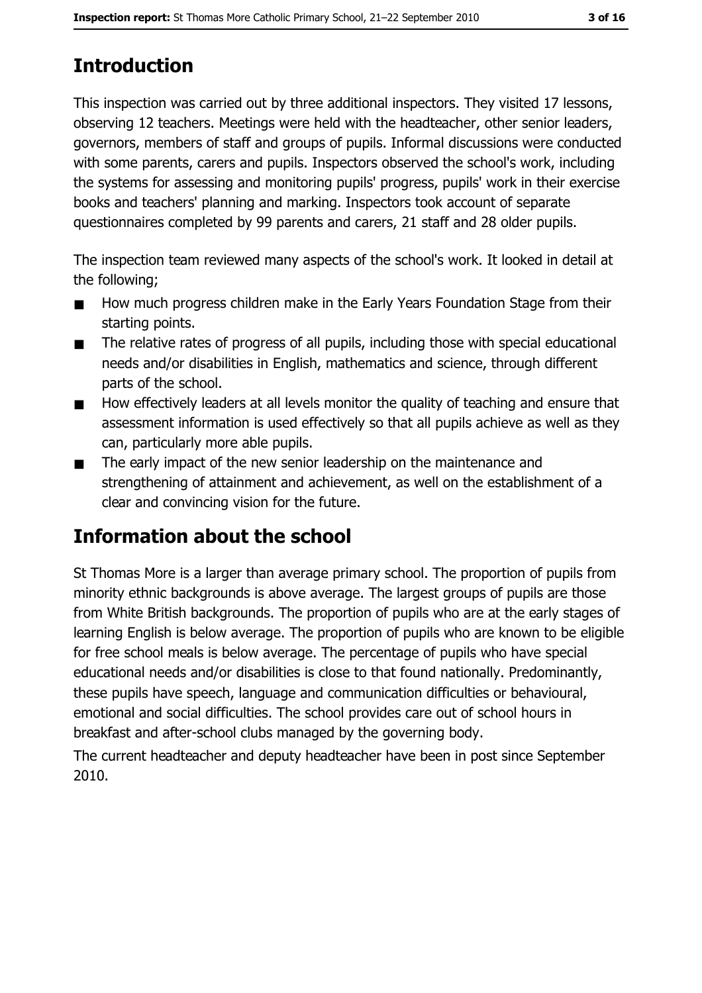# **Introduction**

This inspection was carried out by three additional inspectors. They visited 17 lessons, observing 12 teachers. Meetings were held with the headteacher, other senior leaders, governors, members of staff and groups of pupils. Informal discussions were conducted with some parents, carers and pupils. Inspectors observed the school's work, including the systems for assessing and monitoring pupils' progress, pupils' work in their exercise books and teachers' planning and marking. Inspectors took account of separate questionnaires completed by 99 parents and carers, 21 staff and 28 older pupils.

The inspection team reviewed many aspects of the school's work. It looked in detail at the following:

- How much progress children make in the Early Years Foundation Stage from their  $\blacksquare$ starting points.
- The relative rates of progress of all pupils, including those with special educational  $\blacksquare$ needs and/or disabilities in English, mathematics and science, through different parts of the school.
- How effectively leaders at all levels monitor the quality of teaching and ensure that  $\blacksquare$ assessment information is used effectively so that all pupils achieve as well as they can, particularly more able pupils.
- The early impact of the new senior leadership on the maintenance and  $\blacksquare$ strengthening of attainment and achievement, as well on the establishment of a clear and convincing vision for the future.

# Information about the school

St Thomas More is a larger than average primary school. The proportion of pupils from minority ethnic backgrounds is above average. The largest groups of pupils are those from White British backgrounds. The proportion of pupils who are at the early stages of learning English is below average. The proportion of pupils who are known to be eligible for free school meals is below average. The percentage of pupils who have special educational needs and/or disabilities is close to that found nationally. Predominantly, these pupils have speech, language and communication difficulties or behavioural, emotional and social difficulties. The school provides care out of school hours in breakfast and after-school clubs managed by the governing body.

The current headteacher and deputy headteacher have been in post since September 2010.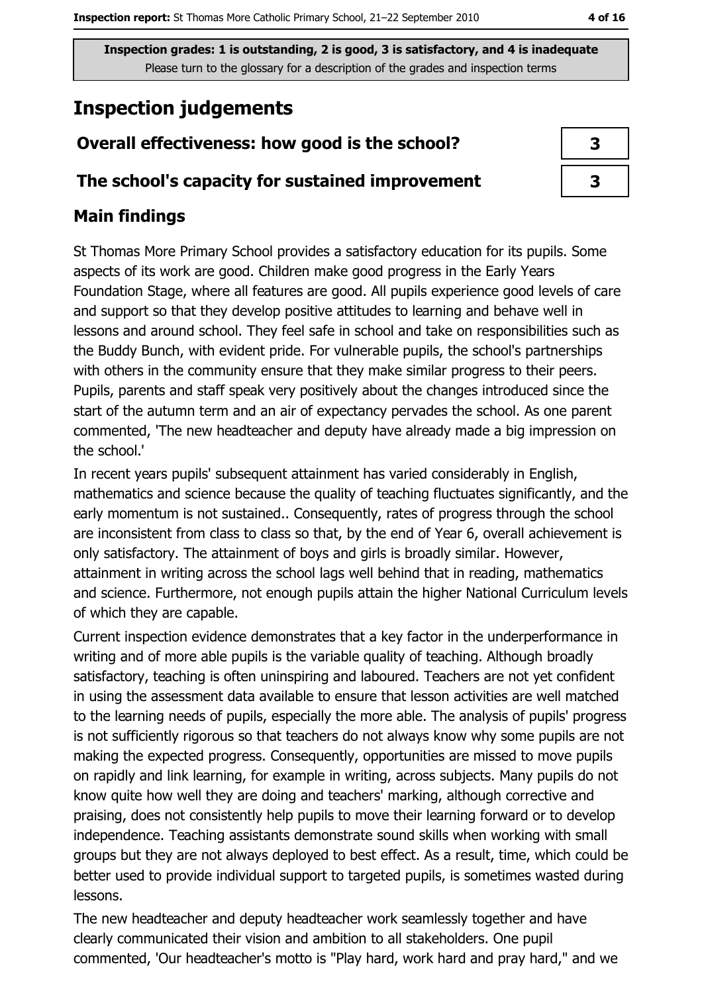# **Inspection judgements**

# Overall effectiveness: how good is the school?

## The school's capacity for sustained improvement

## **Main findings**

St Thomas More Primary School provides a satisfactory education for its pupils. Some aspects of its work are good. Children make good progress in the Early Years Foundation Stage, where all features are good. All pupils experience good levels of care and support so that they develop positive attitudes to learning and behave well in lessons and around school. They feel safe in school and take on responsibilities such as the Buddy Bunch, with evident pride. For vulnerable pupils, the school's partnerships with others in the community ensure that they make similar progress to their peers. Pupils, parents and staff speak very positively about the changes introduced since the start of the autumn term and an air of expectancy pervades the school. As one parent commented, 'The new headteacher and deputy have already made a big impression on the school.'

In recent years pupils' subsequent attainment has varied considerably in English, mathematics and science because the quality of teaching fluctuates significantly, and the early momentum is not sustained.. Consequently, rates of progress through the school are inconsistent from class to class so that, by the end of Year 6, overall achievement is only satisfactory. The attainment of boys and girls is broadly similar. However, attainment in writing across the school lags well behind that in reading, mathematics and science. Furthermore, not enough pupils attain the higher National Curriculum levels of which they are capable.

Current inspection evidence demonstrates that a key factor in the underperformance in writing and of more able pupils is the variable quality of teaching. Although broadly satisfactory, teaching is often uninspiring and laboured. Teachers are not yet confident in using the assessment data available to ensure that lesson activities are well matched to the learning needs of pupils, especially the more able. The analysis of pupils' progress is not sufficiently rigorous so that teachers do not always know why some pupils are not making the expected progress. Consequently, opportunities are missed to move pupils on rapidly and link learning, for example in writing, across subjects. Many pupils do not know quite how well they are doing and teachers' marking, although corrective and praising, does not consistently help pupils to move their learning forward or to develop independence. Teaching assistants demonstrate sound skills when working with small groups but they are not always deployed to best effect. As a result, time, which could be better used to provide individual support to targeted pupils, is sometimes wasted during lessons.

The new headteacher and deputy headteacher work seamlessly together and have clearly communicated their vision and ambition to all stakeholders. One pupil commented, 'Our headteacher's motto is "Play hard, work hard and pray hard," and we

| 3 |  |
|---|--|
| 3 |  |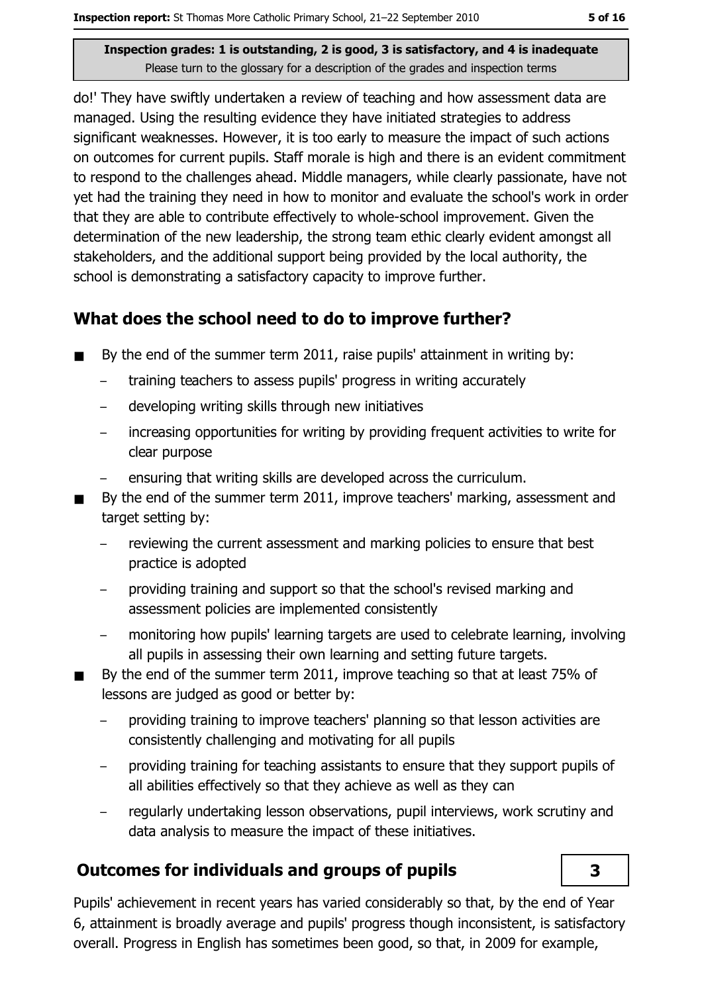do!' They have swiftly undertaken a review of teaching and how assessment data are managed. Using the resulting evidence they have initiated strategies to address significant weaknesses. However, it is too early to measure the impact of such actions on outcomes for current pupils. Staff morale is high and there is an evident commitment to respond to the challenges ahead. Middle managers, while clearly passionate, have not yet had the training they need in how to monitor and evaluate the school's work in order that they are able to contribute effectively to whole-school improvement. Given the determination of the new leadership, the strong team ethic clearly evident amongst all stakeholders, and the additional support being provided by the local authority, the school is demonstrating a satisfactory capacity to improve further.

## What does the school need to do to improve further?

- By the end of the summer term 2011, raise pupils' attainment in writing by:  $\blacksquare$ 
	- $\equiv$ training teachers to assess pupils' progress in writing accurately
	- developing writing skills through new initiatives  $\equiv$
	- increasing opportunities for writing by providing frequent activities to write for  $\equiv$ clear purpose
	- ensuring that writing skills are developed across the curriculum.
- By the end of the summer term 2011, improve teachers' marking, assessment and  $\blacksquare$ target setting by:
	- reviewing the current assessment and marking policies to ensure that best practice is adopted
	- providing training and support so that the school's revised marking and assessment policies are implemented consistently
	- monitoring how pupils' learning targets are used to celebrate learning, involving all pupils in assessing their own learning and setting future targets.
- By the end of the summer term 2011, improve teaching so that at least 75% of lessons are judged as good or better by:
	- providing training to improve teachers' planning so that lesson activities are consistently challenging and motivating for all pupils
	- providing training for teaching assistants to ensure that they support pupils of all abilities effectively so that they achieve as well as they can
	- regularly undertaking lesson observations, pupil interviews, work scrutiny and data analysis to measure the impact of these initiatives.

# **Outcomes for individuals and groups of pupils**

 $\overline{\mathbf{3}}$ 

Pupils' achievement in recent years has varied considerably so that, by the end of Year 6, attainment is broadly average and pupils' progress though inconsistent, is satisfactory overall. Progress in English has sometimes been good, so that, in 2009 for example,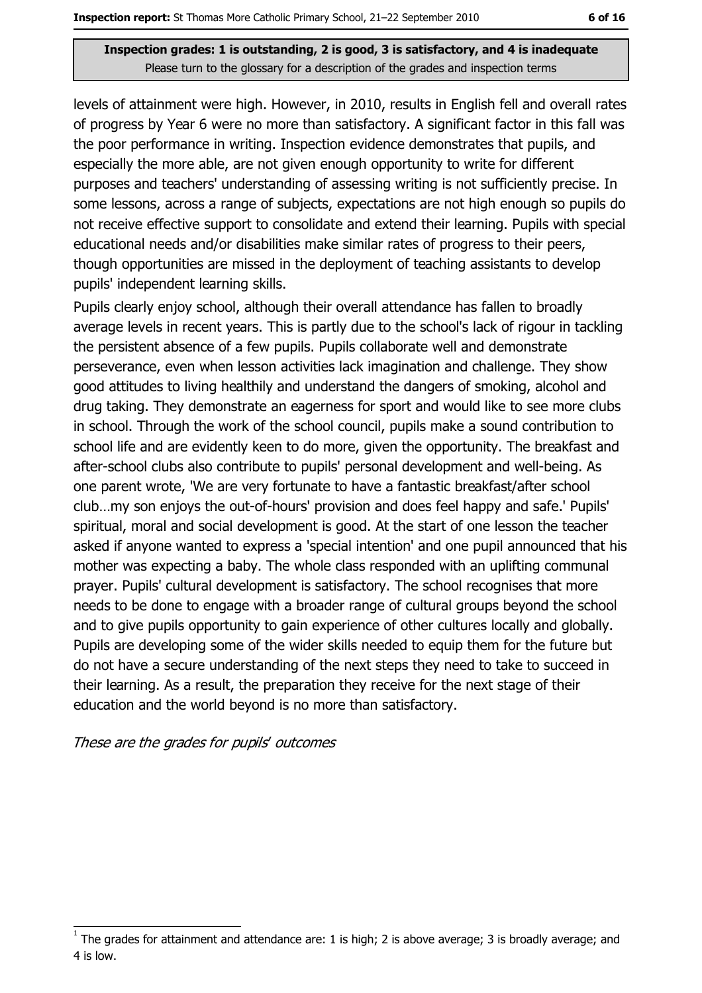levels of attainment were high. However, in 2010, results in English fell and overall rates of progress by Year 6 were no more than satisfactory. A significant factor in this fall was the poor performance in writing. Inspection evidence demonstrates that pupils, and especially the more able, are not given enough opportunity to write for different purposes and teachers' understanding of assessing writing is not sufficiently precise. In some lessons, across a range of subjects, expectations are not high enough so pupils do not receive effective support to consolidate and extend their learning. Pupils with special educational needs and/or disabilities make similar rates of progress to their peers, though opportunities are missed in the deployment of teaching assistants to develop pupils' independent learning skills.

Pupils clearly enjoy school, although their overall attendance has fallen to broadly average levels in recent years. This is partly due to the school's lack of rigour in tackling the persistent absence of a few pupils. Pupils collaborate well and demonstrate perseverance, even when lesson activities lack imagination and challenge. They show good attitudes to living healthily and understand the dangers of smoking, alcohol and drug taking. They demonstrate an eagerness for sport and would like to see more clubs in school. Through the work of the school council, pupils make a sound contribution to school life and are evidently keen to do more, given the opportunity. The breakfast and after-school clubs also contribute to pupils' personal development and well-being. As one parent wrote, 'We are very fortunate to have a fantastic breakfast/after school club...my son enjoys the out-of-hours' provision and does feel happy and safe.' Pupils' spiritual, moral and social development is good. At the start of one lesson the teacher asked if anyone wanted to express a 'special intention' and one pupil announced that his mother was expecting a baby. The whole class responded with an uplifting communal prayer. Pupils' cultural development is satisfactory. The school recognises that more needs to be done to engage with a broader range of cultural groups beyond the school and to give pupils opportunity to gain experience of other cultures locally and globally. Pupils are developing some of the wider skills needed to equip them for the future but do not have a secure understanding of the next steps they need to take to succeed in their learning. As a result, the preparation they receive for the next stage of their education and the world beyond is no more than satisfactory.

#### These are the grades for pupils' outcomes

The grades for attainment and attendance are: 1 is high; 2 is above average; 3 is broadly average; and 4 is low.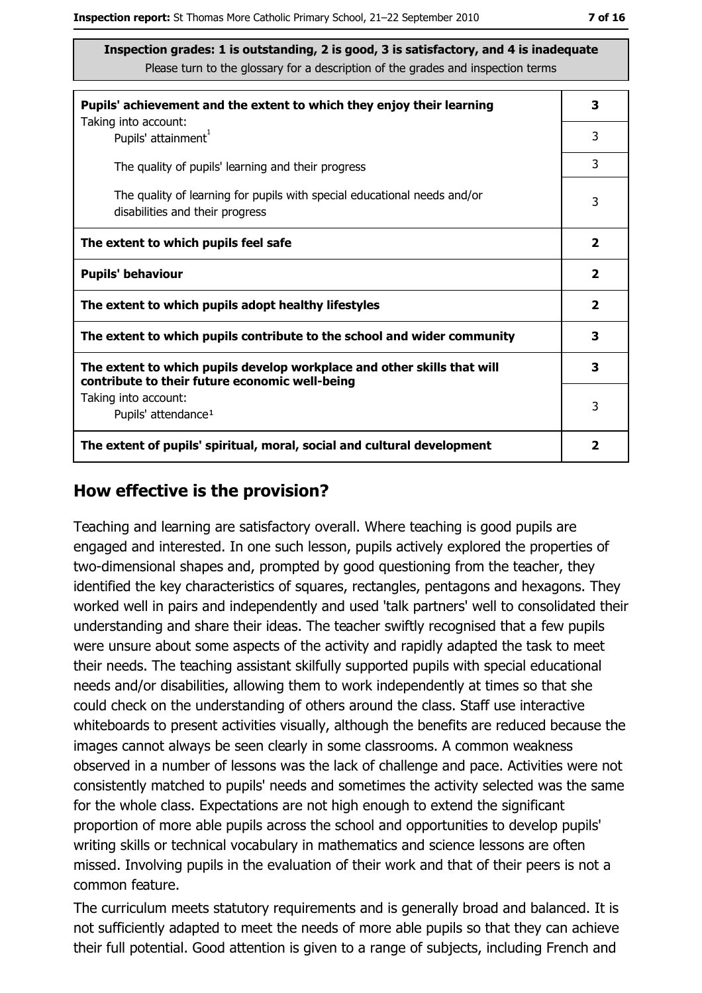| Pupils' achievement and the extent to which they enjoy their learning                                                     |   |  |  |
|---------------------------------------------------------------------------------------------------------------------------|---|--|--|
| Taking into account:<br>Pupils' attainment <sup>1</sup>                                                                   | 3 |  |  |
| The quality of pupils' learning and their progress                                                                        | 3 |  |  |
| The quality of learning for pupils with special educational needs and/or<br>disabilities and their progress               |   |  |  |
| The extent to which pupils feel safe                                                                                      |   |  |  |
| <b>Pupils' behaviour</b>                                                                                                  |   |  |  |
| The extent to which pupils adopt healthy lifestyles                                                                       |   |  |  |
| The extent to which pupils contribute to the school and wider community                                                   |   |  |  |
| The extent to which pupils develop workplace and other skills that will<br>contribute to their future economic well-being |   |  |  |
| Taking into account:<br>Pupils' attendance <sup>1</sup>                                                                   | 3 |  |  |
| The extent of pupils' spiritual, moral, social and cultural development                                                   |   |  |  |

#### How effective is the provision?

Teaching and learning are satisfactory overall. Where teaching is good pupils are engaged and interested. In one such lesson, pupils actively explored the properties of two-dimensional shapes and, prompted by good questioning from the teacher, they identified the key characteristics of squares, rectangles, pentagons and hexagons. They worked well in pairs and independently and used 'talk partners' well to consolidated their understanding and share their ideas. The teacher swiftly recognised that a few pupils were unsure about some aspects of the activity and rapidly adapted the task to meet their needs. The teaching assistant skilfully supported pupils with special educational needs and/or disabilities, allowing them to work independently at times so that she could check on the understanding of others around the class. Staff use interactive whiteboards to present activities visually, although the benefits are reduced because the images cannot always be seen clearly in some classrooms. A common weakness observed in a number of lessons was the lack of challenge and pace. Activities were not consistently matched to pupils' needs and sometimes the activity selected was the same for the whole class. Expectations are not high enough to extend the significant proportion of more able pupils across the school and opportunities to develop pupils' writing skills or technical vocabulary in mathematics and science lessons are often missed. Involving pupils in the evaluation of their work and that of their peers is not a common feature.

The curriculum meets statutory requirements and is generally broad and balanced. It is not sufficiently adapted to meet the needs of more able pupils so that they can achieve their full potential. Good attention is given to a range of subjects, including French and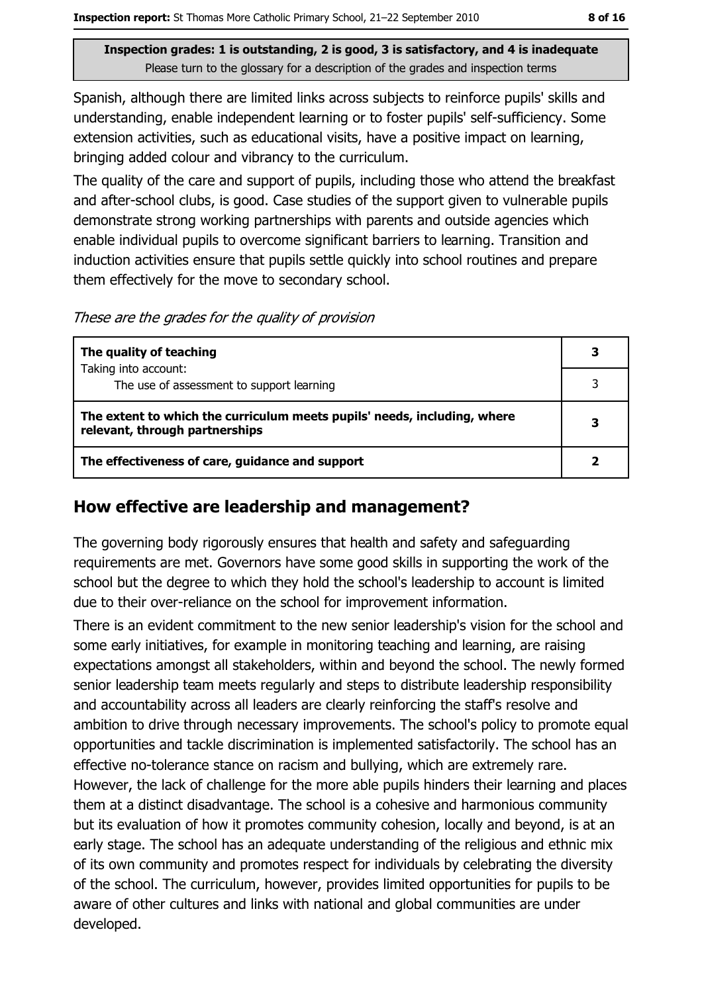Spanish, although there are limited links across subjects to reinforce pupils' skills and understanding, enable independent learning or to foster pupils' self-sufficiency. Some extension activities, such as educational visits, have a positive impact on learning, bringing added colour and vibrancy to the curriculum.

The quality of the care and support of pupils, including those who attend the breakfast and after-school clubs, is good. Case studies of the support given to vulnerable pupils demonstrate strong working partnerships with parents and outside agencies which enable individual pupils to overcome significant barriers to learning. Transition and induction activities ensure that pupils settle quickly into school routines and prepare them effectively for the move to secondary school.

These are the grades for the quality of provision

| The quality of teaching                                                                                    | 3 |
|------------------------------------------------------------------------------------------------------------|---|
| Taking into account:                                                                                       |   |
| The use of assessment to support learning                                                                  |   |
| The extent to which the curriculum meets pupils' needs, including, where<br>relevant, through partnerships | 3 |
| The effectiveness of care, guidance and support                                                            |   |

#### How effective are leadership and management?

The governing body rigorously ensures that health and safety and safequarding requirements are met. Governors have some good skills in supporting the work of the school but the degree to which they hold the school's leadership to account is limited due to their over-reliance on the school for improvement information.

There is an evident commitment to the new senior leadership's vision for the school and some early initiatives, for example in monitoring teaching and learning, are raising expectations amongst all stakeholders, within and beyond the school. The newly formed senior leadership team meets regularly and steps to distribute leadership responsibility and accountability across all leaders are clearly reinforcing the staff's resolve and ambition to drive through necessary improvements. The school's policy to promote equal opportunities and tackle discrimination is implemented satisfactorily. The school has an effective no-tolerance stance on racism and bullying, which are extremely rare. However, the lack of challenge for the more able pupils hinders their learning and places them at a distinct disadvantage. The school is a cohesive and harmonious community but its evaluation of how it promotes community cohesion, locally and beyond, is at an early stage. The school has an adequate understanding of the religious and ethnic mix of its own community and promotes respect for individuals by celebrating the diversity of the school. The curriculum, however, provides limited opportunities for pupils to be aware of other cultures and links with national and global communities are under developed.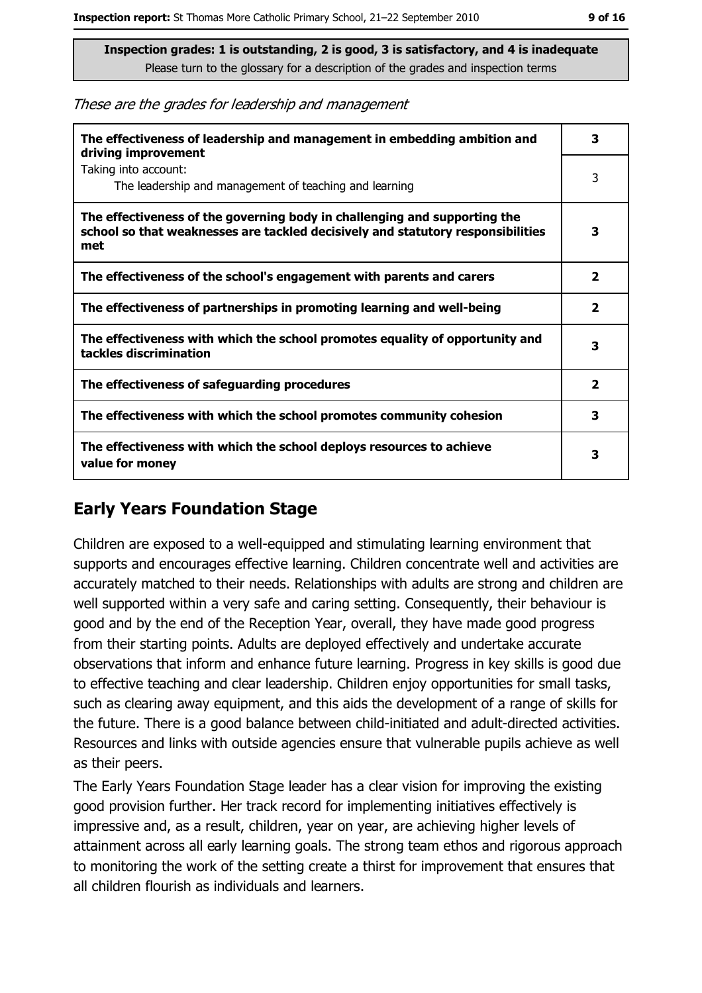These are the grades for leadership and management

| The effectiveness of leadership and management in embedding ambition and<br>driving improvement                                                                     |                         |  |  |
|---------------------------------------------------------------------------------------------------------------------------------------------------------------------|-------------------------|--|--|
| Taking into account:<br>The leadership and management of teaching and learning                                                                                      | 3                       |  |  |
| The effectiveness of the governing body in challenging and supporting the<br>school so that weaknesses are tackled decisively and statutory responsibilities<br>met | 3                       |  |  |
| The effectiveness of the school's engagement with parents and carers                                                                                                | $\overline{\mathbf{2}}$ |  |  |
| The effectiveness of partnerships in promoting learning and well-being                                                                                              | $\overline{\mathbf{2}}$ |  |  |
| The effectiveness with which the school promotes equality of opportunity and<br>tackles discrimination                                                              | з                       |  |  |
| The effectiveness of safeguarding procedures                                                                                                                        | $\overline{\mathbf{2}}$ |  |  |
| The effectiveness with which the school promotes community cohesion                                                                                                 | 3                       |  |  |
| The effectiveness with which the school deploys resources to achieve<br>value for money                                                                             | 3                       |  |  |

### **Early Years Foundation Stage**

Children are exposed to a well-equipped and stimulating learning environment that supports and encourages effective learning. Children concentrate well and activities are accurately matched to their needs. Relationships with adults are strong and children are well supported within a very safe and caring setting. Consequently, their behaviour is good and by the end of the Reception Year, overall, they have made good progress from their starting points. Adults are deployed effectively and undertake accurate observations that inform and enhance future learning. Progress in key skills is good due to effective teaching and clear leadership. Children enjoy opportunities for small tasks, such as clearing away equipment, and this aids the development of a range of skills for the future. There is a good balance between child-initiated and adult-directed activities. Resources and links with outside agencies ensure that vulnerable pupils achieve as well as their peers.

The Early Years Foundation Stage leader has a clear vision for improving the existing good provision further. Her track record for implementing initiatives effectively is impressive and, as a result, children, year on year, are achieving higher levels of attainment across all early learning goals. The strong team ethos and rigorous approach to monitoring the work of the setting create a thirst for improvement that ensures that all children flourish as individuals and learners.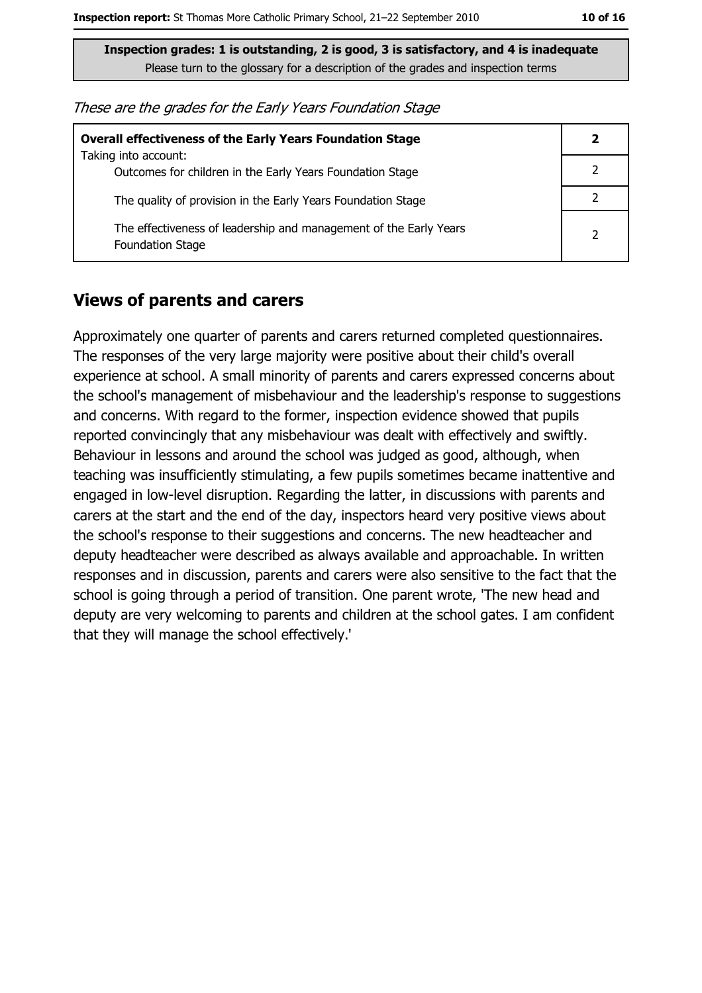| These are the grades for the Early Years Foundation Stage |  |  |  |  |  |  |  |
|-----------------------------------------------------------|--|--|--|--|--|--|--|
|-----------------------------------------------------------|--|--|--|--|--|--|--|

| <b>Overall effectiveness of the Early Years Foundation Stage</b>                             | 2 |
|----------------------------------------------------------------------------------------------|---|
| Taking into account:<br>Outcomes for children in the Early Years Foundation Stage            |   |
| The quality of provision in the Early Years Foundation Stage                                 |   |
| The effectiveness of leadership and management of the Early Years<br><b>Foundation Stage</b> | 2 |

#### **Views of parents and carers**

Approximately one quarter of parents and carers returned completed questionnaires. The responses of the very large majority were positive about their child's overall experience at school. A small minority of parents and carers expressed concerns about the school's management of misbehaviour and the leadership's response to suggestions and concerns. With regard to the former, inspection evidence showed that pupils reported convincingly that any misbehaviour was dealt with effectively and swiftly. Behaviour in lessons and around the school was judged as good, although, when teaching was insufficiently stimulating, a few pupils sometimes became inattentive and engaged in low-level disruption. Regarding the latter, in discussions with parents and carers at the start and the end of the day, inspectors heard very positive views about the school's response to their suggestions and concerns. The new headteacher and deputy headteacher were described as always available and approachable. In written responses and in discussion, parents and carers were also sensitive to the fact that the school is going through a period of transition. One parent wrote, 'The new head and deputy are very welcoming to parents and children at the school gates. I am confident that they will manage the school effectively.'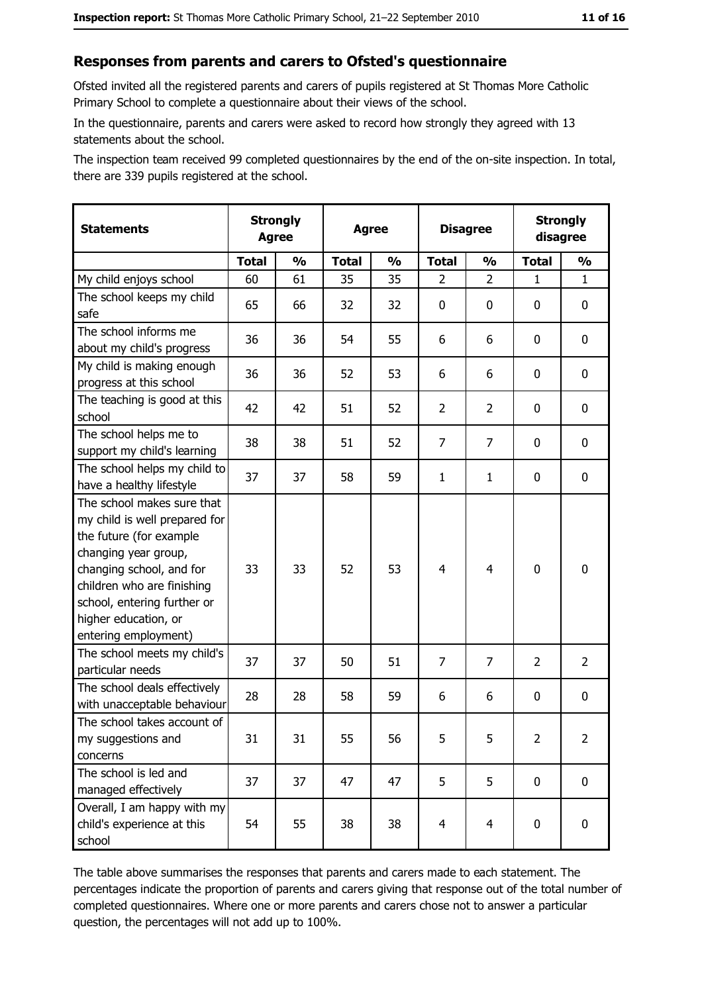#### Responses from parents and carers to Ofsted's questionnaire

Ofsted invited all the registered parents and carers of pupils registered at St Thomas More Catholic Primary School to complete a questionnaire about their views of the school.

In the questionnaire, parents and carers were asked to record how strongly they agreed with 13 statements about the school.

The inspection team received 99 completed questionnaires by the end of the on-site inspection. In total, there are 339 pupils registered at the school.

| <b>Statements</b>                                                                                                                                                                                                                                       | <b>Agree</b> | <b>Strongly</b><br><b>Strongly</b><br><b>Disagree</b><br><b>Agree</b><br>disagree |              |               |                |                |                |                |
|---------------------------------------------------------------------------------------------------------------------------------------------------------------------------------------------------------------------------------------------------------|--------------|-----------------------------------------------------------------------------------|--------------|---------------|----------------|----------------|----------------|----------------|
|                                                                                                                                                                                                                                                         | <b>Total</b> | $\frac{0}{0}$                                                                     | <b>Total</b> | $\frac{0}{0}$ | <b>Total</b>   | $\frac{0}{0}$  | <b>Total</b>   | $\frac{0}{0}$  |
| My child enjoys school                                                                                                                                                                                                                                  | 60           | 61                                                                                | 35           | 35            | $\overline{2}$ | $\overline{2}$ | $\mathbf{1}$   | $\mathbf{1}$   |
| The school keeps my child<br>safe                                                                                                                                                                                                                       | 65           | 66                                                                                | 32           | 32            | $\mathbf 0$    | 0              | 0              | 0              |
| The school informs me<br>about my child's progress                                                                                                                                                                                                      | 36           | 36                                                                                | 54           | 55            | 6              | 6              | 0              | 0              |
| My child is making enough<br>progress at this school                                                                                                                                                                                                    | 36           | 36                                                                                | 52           | 53            | 6              | 6              | 0              | 0              |
| The teaching is good at this<br>school                                                                                                                                                                                                                  | 42           | 42                                                                                | 51           | 52            | $\overline{2}$ | $\overline{2}$ | 0              | 0              |
| The school helps me to<br>support my child's learning                                                                                                                                                                                                   | 38           | 38                                                                                | 51           | 52            | $\overline{7}$ | $\overline{7}$ | 0              | 0              |
| The school helps my child to<br>have a healthy lifestyle                                                                                                                                                                                                | 37           | 37                                                                                | 58           | 59            | $\mathbf{1}$   | $\mathbf{1}$   | 0              | 0              |
| The school makes sure that<br>my child is well prepared for<br>the future (for example<br>changing year group,<br>changing school, and for<br>children who are finishing<br>school, entering further or<br>higher education, or<br>entering employment) | 33           | 33                                                                                | 52           | 53            | $\overline{4}$ | 4              | $\mathbf 0$    | 0              |
| The school meets my child's<br>particular needs                                                                                                                                                                                                         | 37           | 37                                                                                | 50           | 51            | $\overline{7}$ | 7              | $\overline{2}$ | $\overline{2}$ |
| The school deals effectively<br>with unacceptable behaviour                                                                                                                                                                                             | 28           | 28                                                                                | 58           | 59            | 6              | 6              | 0              | 0              |
| The school takes account of<br>my suggestions and<br>concerns                                                                                                                                                                                           | 31           | 31                                                                                | 55           | 56            | 5              | 5              | $\overline{2}$ | $\overline{2}$ |
| The school is led and<br>managed effectively                                                                                                                                                                                                            | 37           | 37                                                                                | 47           | 47            | 5              | 5              | 0              | $\mathbf 0$    |
| Overall, I am happy with my<br>child's experience at this<br>school                                                                                                                                                                                     | 54           | 55                                                                                | 38           | 38            | $\overline{4}$ | $\overline{4}$ | $\mathbf 0$    | 0              |

The table above summarises the responses that parents and carers made to each statement. The percentages indicate the proportion of parents and carers giving that response out of the total number of completed questionnaires. Where one or more parents and carers chose not to answer a particular question, the percentages will not add up to 100%.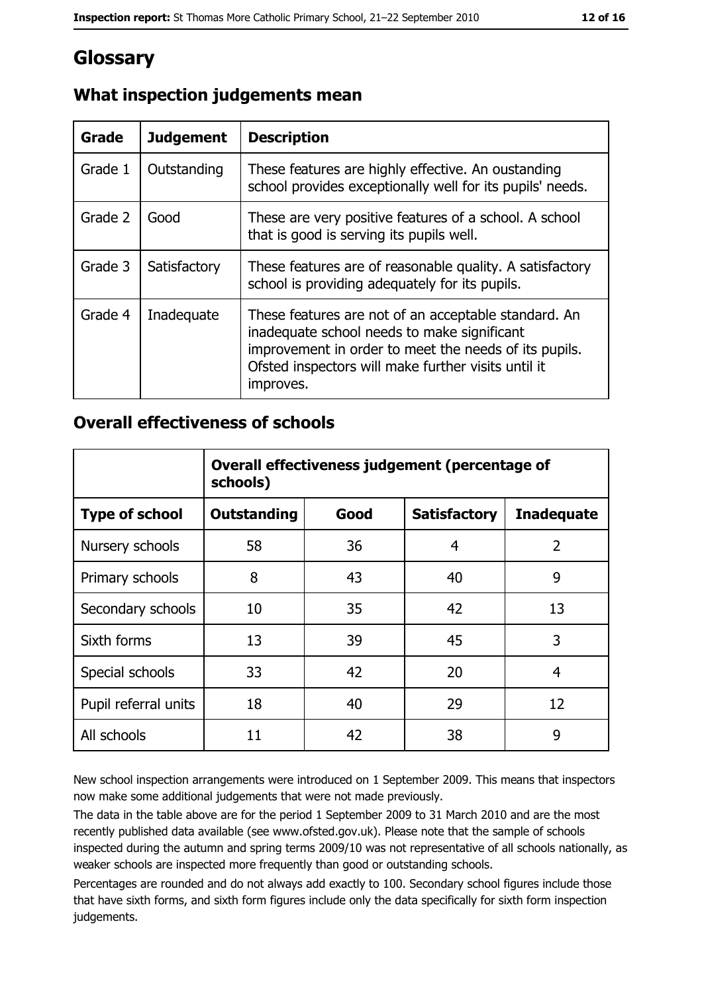# **Glossary**

| Grade   | <b>Judgement</b> | <b>Description</b>                                                                                                                                                                                                               |
|---------|------------------|----------------------------------------------------------------------------------------------------------------------------------------------------------------------------------------------------------------------------------|
| Grade 1 | Outstanding      | These features are highly effective. An oustanding<br>school provides exceptionally well for its pupils' needs.                                                                                                                  |
| Grade 2 | Good             | These are very positive features of a school. A school<br>that is good is serving its pupils well.                                                                                                                               |
| Grade 3 | Satisfactory     | These features are of reasonable quality. A satisfactory<br>school is providing adequately for its pupils.                                                                                                                       |
| Grade 4 | Inadequate       | These features are not of an acceptable standard. An<br>inadequate school needs to make significant<br>improvement in order to meet the needs of its pupils.<br>Ofsted inspectors will make further visits until it<br>improves. |

## What inspection judgements mean

## **Overall effectiveness of schools**

|                       | Overall effectiveness judgement (percentage of<br>schools) |      |                     |                   |  |  |
|-----------------------|------------------------------------------------------------|------|---------------------|-------------------|--|--|
| <b>Type of school</b> | <b>Outstanding</b>                                         | Good | <b>Satisfactory</b> | <b>Inadequate</b> |  |  |
| Nursery schools       | 58                                                         | 36   | 4                   | $\overline{2}$    |  |  |
| Primary schools       | 8                                                          | 43   | 40                  | 9                 |  |  |
| Secondary schools     | 10                                                         | 35   | 42                  | 13                |  |  |
| Sixth forms           | 13                                                         | 39   | 45                  | 3                 |  |  |
| Special schools       | 33                                                         | 42   | 20                  | 4                 |  |  |
| Pupil referral units  | 18                                                         | 40   | 29                  | 12                |  |  |
| All schools           | 11                                                         | 42   | 38                  | 9                 |  |  |

New school inspection arrangements were introduced on 1 September 2009. This means that inspectors now make some additional judgements that were not made previously.

The data in the table above are for the period 1 September 2009 to 31 March 2010 and are the most recently published data available (see www.ofsted.gov.uk). Please note that the sample of schools inspected during the autumn and spring terms 2009/10 was not representative of all schools nationally, as weaker schools are inspected more frequently than good or outstanding schools.

Percentages are rounded and do not always add exactly to 100. Secondary school figures include those that have sixth forms, and sixth form figures include only the data specifically for sixth form inspection judgements.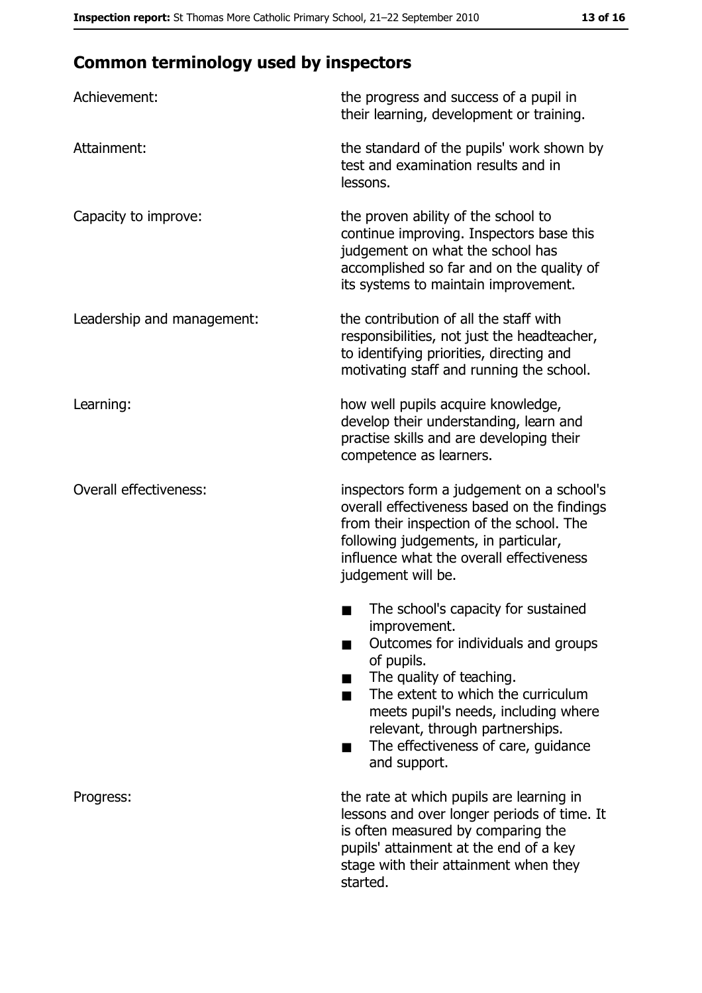# **Common terminology used by inspectors**

| Achievement:                  | the progress and success of a pupil in<br>their learning, development or training.                                                                                                                                                                                                                           |
|-------------------------------|--------------------------------------------------------------------------------------------------------------------------------------------------------------------------------------------------------------------------------------------------------------------------------------------------------------|
| Attainment:                   | the standard of the pupils' work shown by<br>test and examination results and in<br>lessons.                                                                                                                                                                                                                 |
| Capacity to improve:          | the proven ability of the school to<br>continue improving. Inspectors base this<br>judgement on what the school has<br>accomplished so far and on the quality of<br>its systems to maintain improvement.                                                                                                     |
| Leadership and management:    | the contribution of all the staff with<br>responsibilities, not just the headteacher,<br>to identifying priorities, directing and<br>motivating staff and running the school.                                                                                                                                |
| Learning:                     | how well pupils acquire knowledge,<br>develop their understanding, learn and<br>practise skills and are developing their<br>competence as learners.                                                                                                                                                          |
| <b>Overall effectiveness:</b> | inspectors form a judgement on a school's<br>overall effectiveness based on the findings<br>from their inspection of the school. The<br>following judgements, in particular,<br>influence what the overall effectiveness<br>judgement will be.                                                               |
|                               | The school's capacity for sustained<br>improvement.<br>Outcomes for individuals and groups<br>of pupils.<br>The quality of teaching.<br>The extent to which the curriculum<br>meets pupil's needs, including where<br>relevant, through partnerships.<br>The effectiveness of care, guidance<br>and support. |
| Progress:                     | the rate at which pupils are learning in<br>lessons and over longer periods of time. It<br>is often measured by comparing the<br>pupils' attainment at the end of a key<br>stage with their attainment when they<br>started.                                                                                 |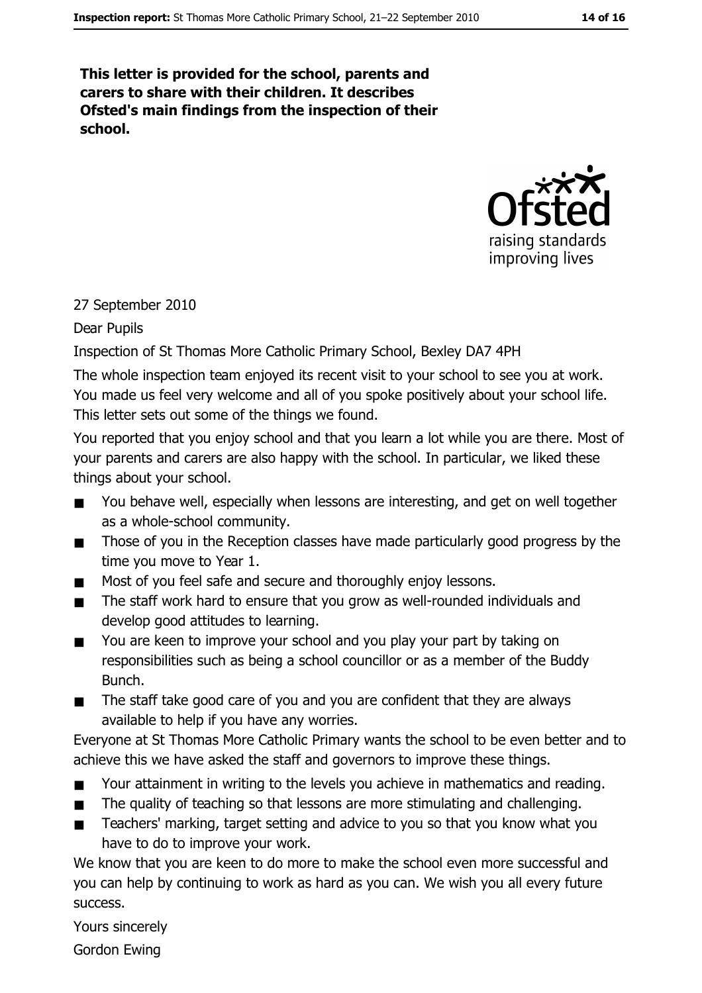This letter is provided for the school, parents and carers to share with their children. It describes Ofsted's main findings from the inspection of their school.



#### 27 September 2010

#### Dear Pupils

Inspection of St Thomas More Catholic Primary School, Bexley DA7 4PH

The whole inspection team enjoyed its recent visit to your school to see you at work. You made us feel very welcome and all of you spoke positively about your school life. This letter sets out some of the things we found.

You reported that you enjoy school and that you learn a lot while you are there. Most of your parents and carers are also happy with the school. In particular, we liked these things about your school.

- You behave well, especially when lessons are interesting, and get on well together  $\blacksquare$ as a whole-school community.
- Those of you in the Reception classes have made particularly good progress by the  $\blacksquare$ time you move to Year 1.
- Most of you feel safe and secure and thoroughly enjoy lessons.  $\blacksquare$
- The staff work hard to ensure that you grow as well-rounded individuals and  $\blacksquare$ develop good attitudes to learning.
- You are keen to improve your school and you play your part by taking on  $\blacksquare$ responsibilities such as being a school councillor or as a member of the Buddy Bunch.
- The staff take good care of you and you are confident that they are always  $\blacksquare$ available to help if you have any worries.

Everyone at St Thomas More Catholic Primary wants the school to be even better and to achieve this we have asked the staff and governors to improve these things.

- Your attainment in writing to the levels you achieve in mathematics and reading.  $\blacksquare$
- The quality of teaching so that lessons are more stimulating and challenging.  $\blacksquare$
- Teachers' marking, target setting and advice to you so that you know what you  $\blacksquare$ have to do to improve your work.

We know that you are keen to do more to make the school even more successful and you can help by continuing to work as hard as you can. We wish you all every future success.

Yours sincerely

**Gordon Ewing**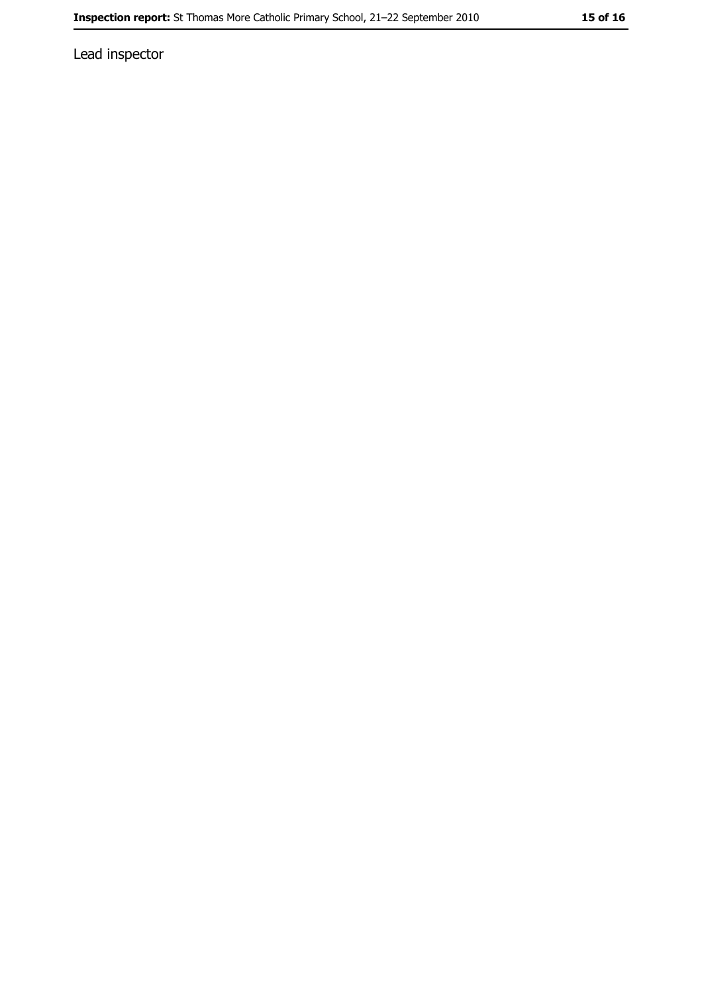Lead inspector